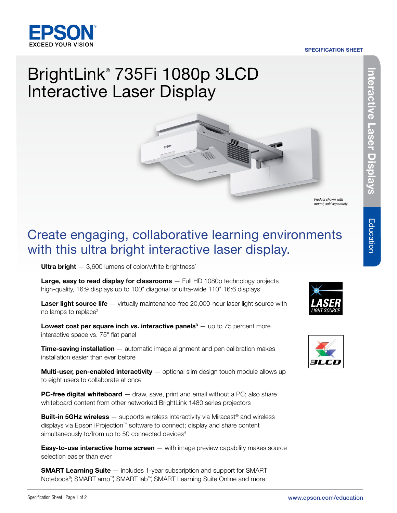#### SPECIFICATION SHEET



# BrightLink® 735Fi 1080p 3LCD Interactive Laser Display



*Product shown with mount, sold separately.*

## Create engaging, collaborative learning environments with this ultra bright interactive laser display.

Ultra bright  $-3,600$  lumens of color/white brightness<sup>1</sup>

Large, easy to read display for classrooms - Full HD 1080p technology projects high-quality, 16:9 displays up to 100" diagonal or ultra-wide 110" 16:6 displays

Laser light source life — virtually maintenance-free 20,000-hour laser light source with no lamps to replace<sup>2</sup>

Lowest cost per square inch vs. interactive panels<sup>3</sup>  $-$  up to 75 percent more interactive space vs. 75" flat panel

**Time-saving installation** – automatic image alignment and pen calibration makes installation easier than ever before

**Multi-user, pen-enabled interactivity**  $-$  optional slim design touch module allows up to eight users to collaborate at once

**PC-free digital whiteboard** — draw, save, print and email without a PC; also share whiteboard content from other networked BrightLink 1480 series projectors

**Built-in 5GHz wireless**  $-$  supports wireless interactivity via Miracast<sup>®</sup> and wireless displays via Epson iProjection™ software to connect; display and share content simultaneously to/from up to 50 connected devices<sup>4</sup>

**Easy-to-use interactive home screen** — with image preview capability makes source selection easier than ever

**SMART Learning Suite** — includes 1-year subscription and support for SMART Notebook®, SMART amp™, SMART lab™, SMART Learning Suite Online and more